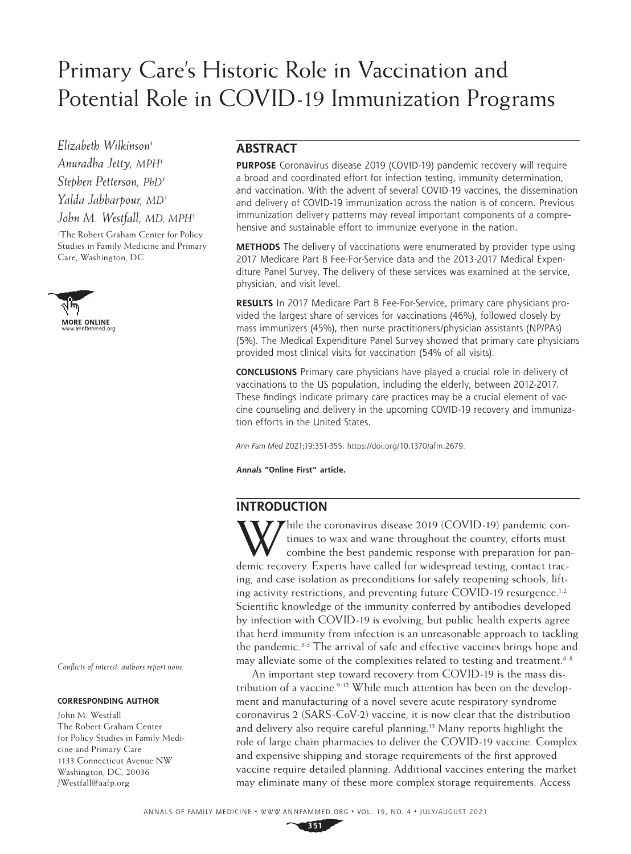# Primary Care's Historic Role in Vaccination and Potential Role in COVID-19 Immunization Programs

*Elizabeth Wilkinson1 Anuradha Jetty, MPH1 Stephen Petterson, PhD1 Yalda Jabbarpour, MD1 John M. Westfall, MD, MPH1*

1 The Robert Graham Center for Policy Studies in Family Medicine and Primary Care, Washington, DC



*Conflicts of interest: authors report none.*

#### **CORRESPONDING AUTHOR**

John M. Westfall The Robert Graham Center for Policy Studies in Family Medicine and Primary Care 1133 Connecticut Avenue NW Washington, DC, 20036 [JWestfall@aafp.org](mailto:JWestfall@aafp.org)

### **ABSTRACT**

**PURPOSE** Coronavirus disease 2019 (COVID-19) pandemic recovery will require a broad and coordinated effort for infection testing, immunity determination, and vaccination. With the advent of several COVID-19 vaccines, the dissemination and delivery of COVID-19 immunization across the nation is of concern. Previous immunization delivery patterns may reveal important components of a comprehensive and sustainable effort to immunize everyone in the nation.

**METHODS** The delivery of vaccinations were enumerated by provider type using 2017 Medicare Part B Fee-For-Service data and the 2013-2017 Medical Expenditure Panel Survey. The delivery of these services was examined at the service, physician, and visit level.

**RESULTS** In 2017 Medicare Part B Fee-For-Service, primary care physicians provided the largest share of services for vaccinations (46%), followed closely by mass immunizers (45%), then nurse practitioners/physician assistants (NP/PAs) (5%). The Medical Expenditure Panel Survey showed that primary care physicians provided most clinical visits for vaccination (54% of all visits).

**CONCLUSIONS** Primary care physicians have played a crucial role in delivery of vaccinations to the US population, including the elderly, between 2012-2017. These findings indicate primary care practices may be a crucial element of vaccine counseling and delivery in the upcoming COVID-19 recovery and immunization efforts in the United States.

*Ann Fam Med* 2021;19:351-355. [https://doi.org/10.1370/afm.2679.](https://doi.org/10.1370/afm.2679)

**Annals "Online First" article.** 

## **INTRODUCTION**

While the coronavirus disease 2019 (COVID-19) pandemic con-<br>tinues to wax and wane throughout the country, efforts must<br>combine the best pandemic response with preparation for pan<br>damin property. Function will density from tinues to wax and wane throughout the country, efforts must combine the best pandemic response with preparation for pandemic recovery. Experts have called for widespread testing, contact tracing, and case isolation as preconditions for safely reopening schools, lifting activity restrictions, and preventing future COVID-19 resurgence.<sup>1,2</sup> Scientific knowledge of the immunity conferred by antibodies developed by infection with COVID-19 is evolving, but public health experts agree that herd immunity from infection is an unreasonable approach to tackling the pandemic.<sup>3-5</sup> The arrival of safe and effective vaccines brings hope and may alleviate some of the complexities related to testing and treatment.<sup>6-8</sup>

An important step toward recovery from COVID-19 is the mass distribution of a vaccine.<sup>9-12</sup> While much attention has been on the development and manufacturing of a novel severe acute respiratory syndrome coronavirus 2 (SARS-CoV-2) vaccine, it is now clear that the distribution and delivery also require careful planning.<sup>13</sup> Many reports highlight the role of large chain pharmacies to deliver the COVID-19 vaccine. Complex and expensive shipping and storage requirements of the first approved vaccine require detailed planning. Additional vaccines entering the market may eliminate many of these more complex storage requirements. Access

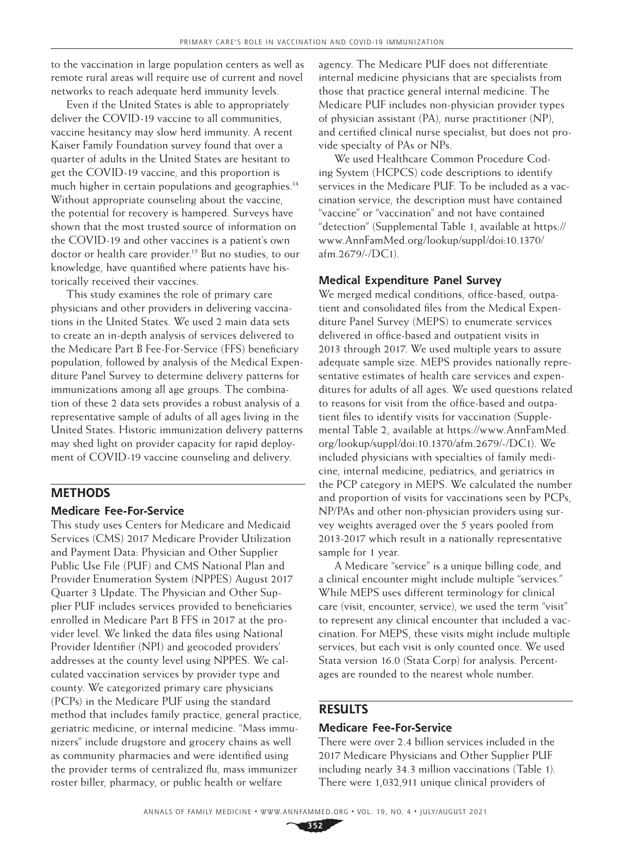to the vaccination in large population centers as well as remote rural areas will require use of current and novel networks to reach adequate herd immunity levels.

Even if the United States is able to appropriately deliver the COVID-19 vaccine to all communities, vaccine hesitancy may slow herd immunity. A recent Kaiser Family Foundation survey found that over a quarter of adults in the United States are hesitant to get the COVID-19 vaccine, and this proportion is much higher in certain populations and geographies.<sup>14</sup> Without appropriate counseling about the vaccine, the potential for recovery is hampered. Surveys have shown that the most trusted source of information on the COVID-19 and other vaccines is a patient's own doctor or health care provider.<sup>15</sup> But no studies, to our knowledge, have quantified where patients have historically received their vaccines.

This study examines the role of primary care physicians and other providers in delivering vaccinations in the United States. We used 2 main data sets to create an in-depth analysis of services delivered to the Medicare Part B Fee-For-Service (FFS) beneficiary population, followed by analysis of the Medical Expenditure Panel Survey to determine delivery patterns for immunizations among all age groups. The combination of these 2 data sets provides a robust analysis of a representative sample of adults of all ages living in the United States. Historic immunization delivery patterns may shed light on provider capacity for rapid deployment of COVID-19 vaccine counseling and delivery.

#### **METHODS**

#### **Medicare Fee-For-Service**

This study uses Centers for Medicare and Medicaid Services (CMS) 2017 Medicare Provider Utilization and Payment Data: Physician and Other Supplier Public Use File (PUF) and CMS National Plan and Provider Enumeration System (NPPES) August 2017 Quarter 3 Update. The Physician and Other Supplier PUF includes services provided to beneficiaries enrolled in Medicare Part B FFS in 2017 at the provider level. We linked the data files using National Provider Identifier (NPI) and geocoded providers' addresses at the county level using NPPES. We calculated vaccination services by provider type and county. We categorized primary care physicians (PCPs) in the Medicare PUF using the standard method that includes family practice, general practice, geriatric medicine, or internal medicine. "Mass immunizers" include drugstore and grocery chains as well as community pharmacies and were identified using the provider terms of centralized flu, mass immunizer roster biller, pharmacy, or public health or welfare

agency. The Medicare PUF does not differentiate internal medicine physicians that are specialists from those that practice general internal medicine. The Medicare PUF includes non-physician provider types of physician assistant (PA), nurse practitioner (NP), and certified clinical nurse specialist, but does not provide specialty of PAs or NPs.

We used Healthcare Common Procedure Coding System (HCPCS) code descriptions to identify services in the Medicare PUF. To be included as a vaccination service, the description must have contained "vaccine" or "vaccination" and not have contained "detection" (Supplemental Table 1, available at [https://](https://www.AnnFamMed.org/lookup/suppl/doi:10.1370/afm.2679/-/DC1) [www.AnnFamMed.org/lookup/suppl/doi:10.1370/](https://www.AnnFamMed.org/lookup/suppl/doi:10.1370/afm.2679/-/DC1) [afm.2679/-/DC1\)](https://www.AnnFamMed.org/lookup/suppl/doi:10.1370/afm.2679/-/DC1).

#### **Medical Expenditure Panel Survey**

We merged medical conditions, office-based, outpatient and consolidated files from the Medical Expenditure Panel Survey (MEPS) to enumerate services delivered in office-based and outpatient visits in 2013 through 2017. We used multiple years to assure adequate sample size. MEPS provides nationally representative estimates of health care services and expenditures for adults of all ages. We used questions related to reasons for visit from the office-based and outpatient files to identify visits for vaccination (Supplemental Table 2, available at [https://www.AnnFamMed.](https://www.AnnFamMed.org/lookup/suppl/doi:10.1370/afm.2679/-/DC1) [org/lookup/suppl/doi:10.1370/afm.2679/-/DC1\)](https://www.AnnFamMed.org/lookup/suppl/doi:10.1370/afm.2679/-/DC1). We included physicians with specialties of family medicine, internal medicine, pediatrics, and geriatrics in the PCP category in MEPS. We calculated the number and proportion of visits for vaccinations seen by PCPs, NP/PAs and other non-physician providers using survey weights averaged over the 5 years pooled from 2013-2017 which result in a nationally representative sample for 1 year.

A Medicare "service" is a unique billing code, and a clinical encounter might include multiple "services." While MEPS uses different terminology for clinical care (visit, encounter, service), we used the term "visit" to represent any clinical encounter that included a vaccination. For MEPS, these visits might include multiple services, but each visit is only counted once. We used Stata version 16.0 (Stata Corp) for analysis. Percentages are rounded to the nearest whole number.

#### **RESULTS**

#### **Medicare Fee-For-Service**

There were over 2.4 billion services included in the 2017 Medicare Physicians and Other Supplier PUF including nearly 34.3 million vaccinations (Table 1). There were 1,032,911 unique clinical providers of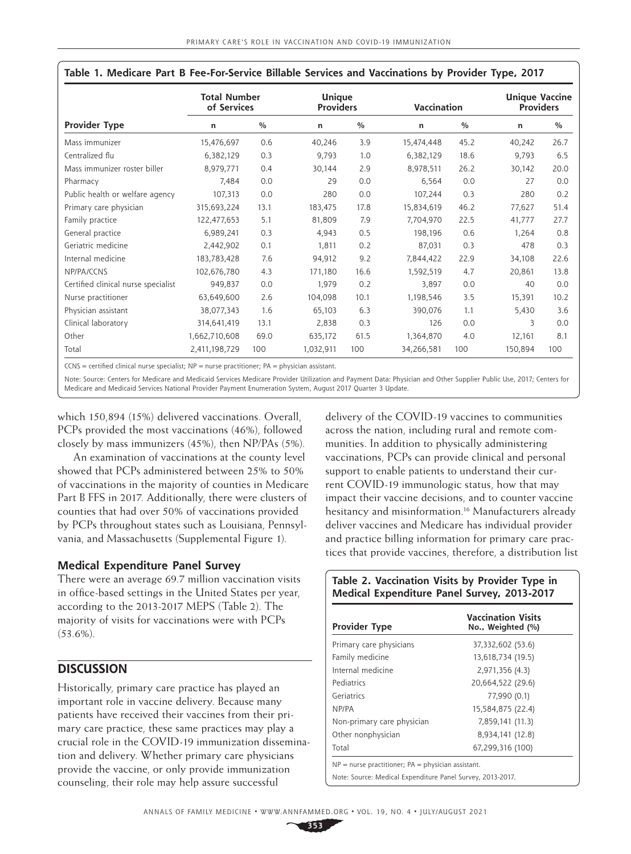|                                     | <b>Total Number</b><br>of Services |               |           | Unique<br><b>Providers</b> |            | Vaccination   |         | <b>Unique Vaccine</b><br><b>Providers</b> |  |
|-------------------------------------|------------------------------------|---------------|-----------|----------------------------|------------|---------------|---------|-------------------------------------------|--|
| <b>Provider Type</b>                | n                                  | $\frac{0}{0}$ | n         | $\frac{0}{0}$              | n          | $\frac{0}{0}$ | n       | $\frac{0}{0}$                             |  |
| Mass immunizer                      | 15,476,697                         | 0.6           | 40,246    | 3.9                        | 15,474,448 | 45.2          | 40,242  | 26.7                                      |  |
| Centralized flu                     | 6,382,129                          | 0.3           | 9,793     | 1.0                        | 6,382,129  | 18.6          | 9,793   | 6.5                                       |  |
| Mass immunizer roster biller        | 8,979,771                          | 0.4           | 30,144    | 2.9                        | 8,978,511  | 26.2          | 30,142  | 20.0                                      |  |
| Pharmacy                            | 7.484                              | 0.0           | 29        | 0.0                        | 6,564      | 0.0           | 27      | 0.0                                       |  |
| Public health or welfare agency     | 107,313                            | 0.0           | 280       | 0.0                        | 107,244    | 0.3           | 280     | 0.2                                       |  |
| Primary care physician              | 315,693,224                        | 13.1          | 183,475   | 17.8                       | 15,834,619 | 46.2          | 77,627  | 51.4                                      |  |
| Family practice                     | 122,477,653                        | 5.1           | 81,809    | 7.9                        | 7,704,970  | 22.5          | 41,777  | 27.7                                      |  |
| General practice                    | 6,989,241                          | 0.3           | 4,943     | 0.5                        | 198,196    | 0.6           | 1,264   | 0.8                                       |  |
| Geriatric medicine                  | 2,442,902                          | 0.1           | 1,811     | 0.2                        | 87,031     | 0.3           | 478     | 0.3                                       |  |
| Internal medicine                   | 183,783,428                        | 7.6           | 94,912    | 9.2                        | 7,844,422  | 22.9          | 34,108  | 22.6                                      |  |
| NP/PA/CCNS                          | 102,676,780                        | 4.3           | 171,180   | 16.6                       | 1,592,519  | 4.7           | 20,861  | 13.8                                      |  |
| Certified clinical nurse specialist | 949,837                            | 0.0           | 1.979     | 0.2                        | 3.897      | 0.0           | 40      | 0.0                                       |  |
| Nurse practitioner                  | 63,649,600                         | 2.6           | 104,098   | 10.1                       | 1,198,546  | 3.5           | 15,391  | 10.2                                      |  |
| Physician assistant                 | 38,077,343                         | 1.6           | 65,103    | 6.3                        | 390,076    | 1.1           | 5,430   | 3.6                                       |  |
| Clinical laboratory                 | 314,641,419                        | 13.1          | 2,838     | 0.3                        | 126        | 0.0           | 3       | 0.0                                       |  |
| Other                               | 1,662,710,608                      | 69.0          | 635,172   | 61.5                       | 1,364,870  | 4.0           | 12,161  | 8.1                                       |  |
| Total                               | 2,411,198,729                      | 100           | 1,032,911 | 100                        | 34,266,581 | 100           | 150,894 | 100                                       |  |

| Table 1. Medicare Part B Fee-For-Service Billable Services and Vaccinations by Provider Type, 2017 |  |  |  |
|----------------------------------------------------------------------------------------------------|--|--|--|
|----------------------------------------------------------------------------------------------------|--|--|--|

 $CCNS =$  certified clinical nurse specialist;  $NP =$  nurse practitioner;  $PA =$ physician assistant.

Note: Source: Centers for Medicare and Medicaid Services Medicare Provider Utilization and Payment Data: Physician and Other Supplier Public Use, 2017; Centers for Medicare and Medicaid Services National Provider Payment Enumeration System, August 2017 Quarter 3 Update.

which 150,894 (15%) delivered vaccinations. Overall, PCPs provided the most vaccinations (46%), followed closely by mass immunizers (45%), then NP/PAs (5%).

An examination of vaccinations at the county level showed that PCPs administered between 25% to 50% of vaccinations in the majority of counties in Medicare Part B FFS in 2017. Additionally, there were clusters of counties that had over 50% of vaccinations provided by PCPs throughout states such as Louisiana, Pennsylvania, and Massachusetts [\(Supplemental Figure 1](https://www.AnnFamMed.org/lookup/suppl/doi:10.1370/afm.2679/-/DC1)).

#### **Medical Expenditure Panel Survey**

There were an average 69.7 million vaccination visits in office-based settings in the United States per year, according to the 2013-2017 MEPS (Table 2). The majority of visits for vaccinations were with PCPs (53.6%).

#### **DISCUSSION**

Historically, primary care practice has played an important role in vaccine delivery. Because many patients have received their vaccines from their primary care practice, these same practices may play a crucial role in the COVID-19 immunization dissemination and delivery. Whether primary care physicians provide the vaccine, or only provide immunization counseling, their role may help assure successful

delivery of the COVID-19 vaccines to communities across the nation, including rural and remote communities. In addition to physically administering vaccinations, PCPs can provide clinical and personal support to enable patients to understand their current COVID-19 immunologic status, how that may impact their vaccine decisions, and to counter vaccine hesitancy and misinformation.<sup>16</sup> Manufacturers already deliver vaccines and Medicare has individual provider and practice billing information for primary care practices that provide vaccines, therefore, a distribution list

#### **Table 2. Vaccination Visits by Provider Type in Medical Expenditure Panel Survey, 2013-2017**

| <b>Provider Type</b>                                       | <b>Vaccination Visits</b><br>No., Weighted (%) |  |  |  |
|------------------------------------------------------------|------------------------------------------------|--|--|--|
| Primary care physicians                                    | 37,332,602 (53.6)                              |  |  |  |
| Family medicine                                            | 13,618,734 (19.5)                              |  |  |  |
| Internal medicine                                          | 2,971,356 (4.3)                                |  |  |  |
| Pediatrics                                                 | 20,664,522 (29.6)                              |  |  |  |
| Geriatrics                                                 | 77,990 (0.1)                                   |  |  |  |
| NP/PA                                                      | 15,584,875 (22.4)                              |  |  |  |
| Non-primary care physician                                 | 7,859,141 (11.3)                               |  |  |  |
| Other nonphysician                                         | 8,934,141 (12.8)                               |  |  |  |
| Total                                                      | 67,299,316 (100)                               |  |  |  |
| $NP$ = nurse practitioner; $PA$ = physician assistant.     |                                                |  |  |  |
| Note: Source: Medical Expenditure Panel Survey, 2013-2017. |                                                |  |  |  |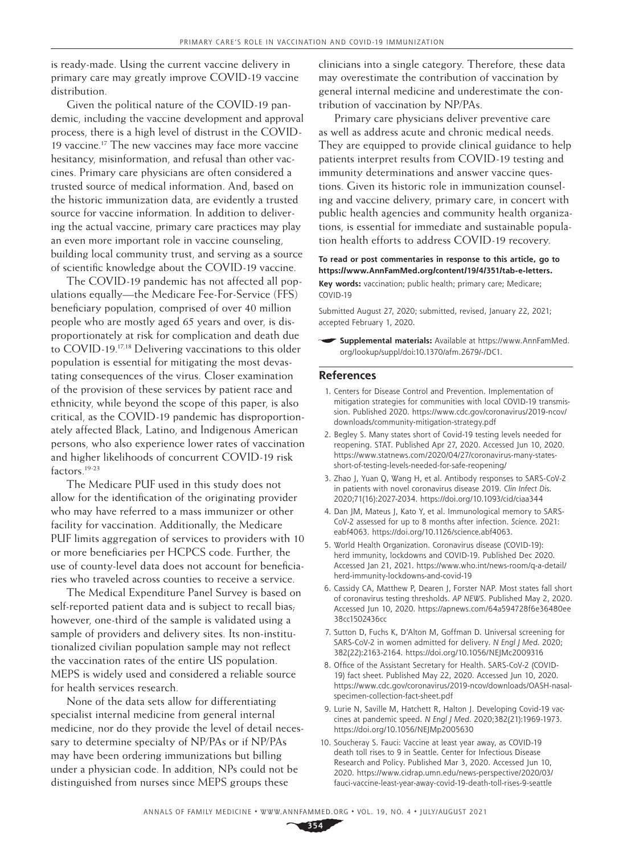is ready-made. Using the current vaccine delivery in primary care may greatly improve COVID-19 vaccine distribution.

Given the political nature of the COVID-19 pandemic, including the vaccine development and approval process, there is a high level of distrust in the COVID-19 vaccine.<sup>17</sup> The new vaccines may face more vaccine hesitancy, misinformation, and refusal than other vaccines. Primary care physicians are often considered a trusted source of medical information. And, based on the historic immunization data, are evidently a trusted source for vaccine information. In addition to delivering the actual vaccine, primary care practices may play an even more important role in vaccine counseling, building local community trust, and serving as a source of scientific knowledge about the COVID-19 vaccine.

The COVID-19 pandemic has not affected all populations equally—the Medicare Fee-For-Service (FFS) beneficiary population, comprised of over 40 million people who are mostly aged 65 years and over, is disproportionately at risk for complication and death due to COVID-19.<sup>17,18</sup> Delivering vaccinations to this older population is essential for mitigating the most devastating consequences of the virus. Closer examination of the provision of these services by patient race and ethnicity, while beyond the scope of this paper, is also critical, as the COVID-19 pandemic has disproportionately affected Black, Latino, and Indigenous American persons, who also experience lower rates of vaccination and higher likelihoods of concurrent COVID-19 risk factors.19-23

The Medicare PUF used in this study does not allow for the identification of the originating provider who may have referred to a mass immunizer or other facility for vaccination. Additionally, the Medicare PUF limits aggregation of services to providers with 10 or more beneficiaries per HCPCS code. Further, the use of county-level data does not account for beneficiaries who traveled across counties to receive a service.

The Medical Expenditure Panel Survey is based on self-reported patient data and is subject to recall bias; however, one-third of the sample is validated using a sample of providers and delivery sites. Its non-institutionalized civilian population sample may not reflect the vaccination rates of the entire US population. MEPS is widely used and considered a reliable source for health services research.

None of the data sets allow for differentiating specialist internal medicine from general internal medicine, nor do they provide the level of detail necessary to determine specialty of NP/PAs or if NP/PAs may have been ordering immunizations but billing under a physician code. In addition, NPs could not be distinguished from nurses since MEPS groups these

clinicians into a single category. Therefore, these data may overestimate the contribution of vaccination by general internal medicine and underestimate the contribution of vaccination by NP/PAs.

Primary care physicians deliver preventive care as well as address acute and chronic medical needs. They are equipped to provide clinical guidance to help patients interpret results from COVID-19 testing and immunity determinations and answer vaccine questions. Given its historic role in immunization counseling and vaccine delivery, primary care, in concert with public health agencies and community health organizations, is essential for immediate and sustainable population health efforts to address COVID-19 recovery.

#### **To read or post commentaries in response to this article, go to [https://www.AnnFamMed.org/content/19/4/351/tab-e-letters.](https://www.Ann​Fam​Med.org/content/19/4/351/tab-e-letters) Key words:** vaccination; public health; primary care; Medicare; COVID-19

Submitted August 27, 2020; submitted, revised, January 22, 2021; accepted February 1, 2020.

**Supplemental materials:** Available at [https://www.AnnFamMed.](https://www.AnnFamMed.org/lookup/suppl/doi:10.1370/afm.2679/-/DC1) [org/lookup/suppl/doi:10.1370/afm.2679/-/DC1.](https://www.AnnFamMed.org/lookup/suppl/doi:10.1370/afm.2679/-/DC1)

#### **References**

- 1. Centers for Disease Control and Prevention. Implementation of mitigation strategies for communities with local COVID-19 transmission. Published 2020. [https://www.cdc.gov/coronavirus/2019-ncov/](https://​www.cdc.gov/coronavirus/2019-ncov/downloads/community-mitigation-strategy.pdf) [downloads/community-mitigation-strategy.pdf](https://​www.cdc.gov/coronavirus/2019-ncov/downloads/community-mitigation-strategy.pdf)
- 2. Begley S. Many states short of Covid-19 testing levels needed for reopening. STAT. Published Apr 27, 2020. Accessed Jun 10, 2020. [https://www.statnews.com/2020/04/27/coronavirus-many-states](https://www.statnews.com/2020/04/27/coronavirus-many-states-short-of-testing-levels-needed-for-safe-reopening/)[short-of-testing-levels-needed-for-safe-reopening/](https://www.statnews.com/2020/04/27/coronavirus-many-states-short-of-testing-levels-needed-for-safe-reopening/)
- 3. Zhao J, Yuan Q, Wang H, et al. Antibody responses to SARS-CoV-2 in patients with novel coronavirus disease 2019. *Clin Infect Dis*. 2020;71(16):2027-2034. <https://doi.org/10.1093/cid/ciaa344>
- 4. Dan JM, Mateus J, Kato Y, et al. Immunological memory to SARS-CoV-2 assessed for up to 8 months after infection. *Science*. 2021: eabf4063. [https://doi.org/10.1126/science.abf4063.](https://doi.org/10.1126/science.abf4063)
- 5. World Health Organization. Coronavirus disease (COVID-19): herd immunity, lockdowns and COVID-19. Published Dec 2020. Accessed Jan 21, 2021. [https://www.who.int/news-room/q-a-detail/](https://​www.who.int/news-room/q-a-detail/herd-immunity-lockdowns-and-covid-19) [herd-immunity-lockdowns-and-covid-19](https://​www.who.int/news-room/q-a-detail/herd-immunity-lockdowns-and-covid-19)
- 6. Cassidy CA, Matthew P, Dearen J, Forster NAP. Most states fall short of coronavirus testing thresholds. *AP NEWS*. Published May 2, 2020. Accessed Jun 10, 2020. [https://apnews.com/64a594728f6e36480ee](https://​apnews.com/64a594728f6e36480ee38cc1502436cc) [38cc1502436cc](https://​apnews.com/64a594728f6e36480ee38cc1502436cc)
- 7. Sutton D, Fuchs K, D'Alton M, Goffman D. Universal screening for SARS-CoV-2 in women admitted for delivery. *N Engl J Med*. 2020; 382(22):2163-2164. <https://doi.org/10.1056/NEJMc2009316>
- 8. Office of the Assistant Secretary for Health. SARS-CoV-2 (COVID-19) fact sheet. Published May 22, 2020. Accessed Jun 10, 2020. [https://www.cdc.gov/coronavirus/2019-ncov/downloads/OASH-nasal](https://​www.cdc.gov/coronavirus/2019-ncov/downloads/OASH-nasal-specimen-collection-fact-sheet.pdf)[specimen-collection-fact-sheet.pdf](https://​www.cdc.gov/coronavirus/2019-ncov/downloads/OASH-nasal-specimen-collection-fact-sheet.pdf)
- 9. Lurie N, Saville M, Hatchett R, Halton J. Developing Covid-19 vaccines at pandemic speed. *N Engl J Med*. 2020;382(21):1969-1973. <https://doi.org/10.1056/NEJMp2005630>
- 10. Soucheray S. Fauci: Vaccine at least year away, as COVID-19 death toll rises to 9 in Seattle. Center for Infectious Disease Research and Policy. Published Mar 3, 2020. Accessed Jun 10, 2020. [https://www.cidrap.umn.edu/news-perspective/2020/03/](https://www.cidrap.umn.edu/news-perspective/2020/03/fauci-vaccine-least-year-away-covid-19-death-toll-rises-9-seattle) [fauci-vaccine-least-year-away-covid-19-death-toll-rises-9-seattle](https://www.cidrap.umn.edu/news-perspective/2020/03/fauci-vaccine-least-year-away-covid-19-death-toll-rises-9-seattle)